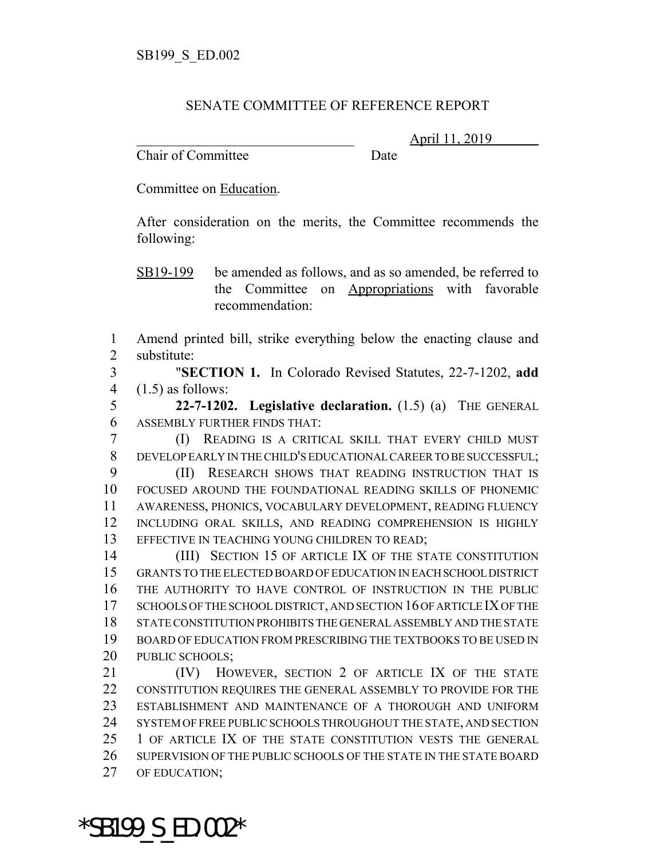## SENATE COMMITTEE OF REFERENCE REPORT

Chair of Committee Date

\_\_\_\_\_\_\_\_\_\_\_\_\_\_\_\_\_\_\_\_\_\_\_\_\_\_\_\_\_\_\_ April 11, 2019

Committee on Education.

After consideration on the merits, the Committee recommends the following:

SB19-199 be amended as follows, and as so amended, be referred to the Committee on Appropriations with favorable recommendation:

1 Amend printed bill, strike everything below the enacting clause and 2 substitute:

3 "**SECTION 1.** In Colorado Revised Statutes, 22-7-1202, **add** 4  $(1.5)$  as follows:

5 **22-7-1202. Legislative declaration.** (1.5) (a) THE GENERAL 6 ASSEMBLY FURTHER FINDS THAT:

7 (I) READING IS A CRITICAL SKILL THAT EVERY CHILD MUST 8 DEVELOP EARLY IN THE CHILD'S EDUCATIONAL CAREER TO BE SUCCESSFUL;

 (II) RESEARCH SHOWS THAT READING INSTRUCTION THAT IS FOCUSED AROUND THE FOUNDATIONAL READING SKILLS OF PHONEMIC AWARENESS, PHONICS, VOCABULARY DEVELOPMENT, READING FLUENCY INCLUDING ORAL SKILLS, AND READING COMPREHENSION IS HIGHLY 13 EFFECTIVE IN TEACHING YOUNG CHILDREN TO READ;

14 (III) SECTION 15 OF ARTICLE IX OF THE STATE CONSTITUTION GRANTS TO THE ELECTED BOARD OF EDUCATION IN EACH SCHOOL DISTRICT THE AUTHORITY TO HAVE CONTROL OF INSTRUCTION IN THE PUBLIC SCHOOLS OF THE SCHOOL DISTRICT, AND SECTION 16 OF ARTICLE IX OF THE STATE CONSTITUTION PROHIBITS THE GENERAL ASSEMBLY AND THE STATE BOARD OF EDUCATION FROM PRESCRIBING THE TEXTBOOKS TO BE USED IN 20 PUBLIC SCHOOLS;

 (IV) HOWEVER, SECTION 2 OF ARTICLE IX OF THE STATE CONSTITUTION REQUIRES THE GENERAL ASSEMBLY TO PROVIDE FOR THE ESTABLISHMENT AND MAINTENANCE OF A THOROUGH AND UNIFORM SYSTEM OF FREE PUBLIC SCHOOLS THROUGHOUT THE STATE, AND SECTION 25 1 OF ARTICLE IX OF THE STATE CONSTITUTION VESTS THE GENERAL SUPERVISION OF THE PUBLIC SCHOOLS OF THE STATE IN THE STATE BOARD OF EDUCATION;

\*SB199\_S\_ED.002\*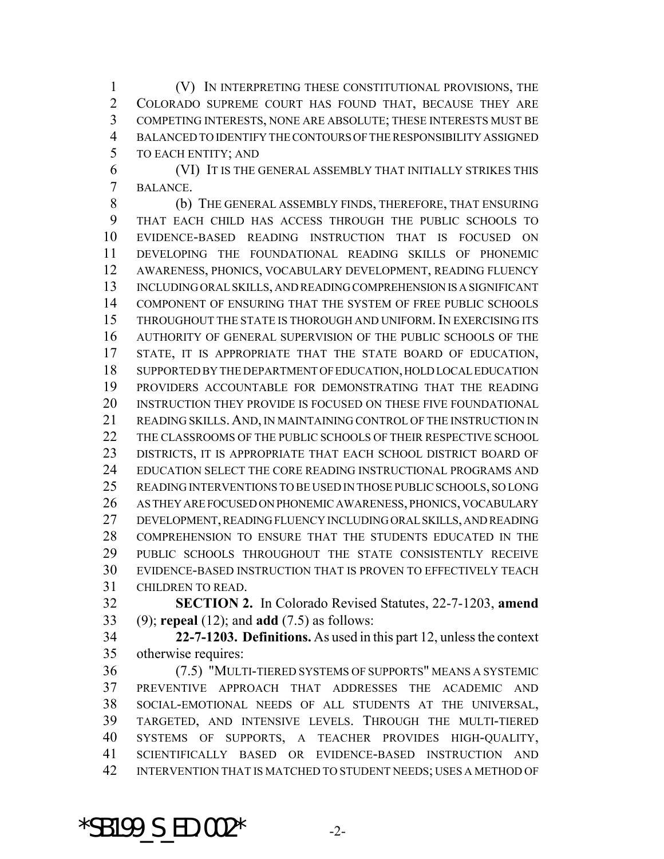(V) IN INTERPRETING THESE CONSTITUTIONAL PROVISIONS, THE COLORADO SUPREME COURT HAS FOUND THAT, BECAUSE THEY ARE COMPETING INTERESTS, NONE ARE ABSOLUTE; THESE INTERESTS MUST BE BALANCED TO IDENTIFY THE CONTOURS OF THE RESPONSIBILITY ASSIGNED TO EACH ENTITY; AND

 (VI) IT IS THE GENERAL ASSEMBLY THAT INITIALLY STRIKES THIS BALANCE.

 (b) THE GENERAL ASSEMBLY FINDS, THEREFORE, THAT ENSURING THAT EACH CHILD HAS ACCESS THROUGH THE PUBLIC SCHOOLS TO EVIDENCE-BASED READING INSTRUCTION THAT IS FOCUSED ON DEVELOPING THE FOUNDATIONAL READING SKILLS OF PHONEMIC AWARENESS, PHONICS, VOCABULARY DEVELOPMENT, READING FLUENCY INCLUDING ORAL SKILLS, AND READING COMPREHENSION IS A SIGNIFICANT COMPONENT OF ENSURING THAT THE SYSTEM OF FREE PUBLIC SCHOOLS THROUGHOUT THE STATE IS THOROUGH AND UNIFORM. IN EXERCISING ITS AUTHORITY OF GENERAL SUPERVISION OF THE PUBLIC SCHOOLS OF THE STATE, IT IS APPROPRIATE THAT THE STATE BOARD OF EDUCATION, SUPPORTED BY THE DEPARTMENT OF EDUCATION, HOLD LOCAL EDUCATION PROVIDERS ACCOUNTABLE FOR DEMONSTRATING THAT THE READING 20 INSTRUCTION THEY PROVIDE IS FOCUSED ON THESE FIVE FOUNDATIONAL READING SKILLS.AND, IN MAINTAINING CONTROL OF THE INSTRUCTION IN 22 THE CLASSROOMS OF THE PUBLIC SCHOOLS OF THEIR RESPECTIVE SCHOOL DISTRICTS, IT IS APPROPRIATE THAT EACH SCHOOL DISTRICT BOARD OF EDUCATION SELECT THE CORE READING INSTRUCTIONAL PROGRAMS AND READING INTERVENTIONS TO BE USED IN THOSE PUBLIC SCHOOLS, SO LONG AS THEY ARE FOCUSED ON PHONEMIC AWARENESS, PHONICS, VOCABULARY DEVELOPMENT, READING FLUENCY INCLUDING ORAL SKILLS, AND READING COMPREHENSION TO ENSURE THAT THE STUDENTS EDUCATED IN THE PUBLIC SCHOOLS THROUGHOUT THE STATE CONSISTENTLY RECEIVE EVIDENCE-BASED INSTRUCTION THAT IS PROVEN TO EFFECTIVELY TEACH CHILDREN TO READ.

 **SECTION 2.** In Colorado Revised Statutes, 22-7-1203, **amend** (9); **repeal** (12); and **add** (7.5) as follows:

 **22-7-1203. Definitions.** As used in this part 12, unless the context otherwise requires:

 (7.5) "MULTI-TIERED SYSTEMS OF SUPPORTS" MEANS A SYSTEMIC PREVENTIVE APPROACH THAT ADDRESSES THE ACADEMIC AND SOCIAL-EMOTIONAL NEEDS OF ALL STUDENTS AT THE UNIVERSAL, TARGETED, AND INTENSIVE LEVELS. THROUGH THE MULTI-TIERED SYSTEMS OF SUPPORTS, A TEACHER PROVIDES HIGH-QUALITY, SCIENTIFICALLY BASED OR EVIDENCE-BASED INSTRUCTION AND INTERVENTION THAT IS MATCHED TO STUDENT NEEDS; USES A METHOD OF

\*SB199  $S$  ED.002\*  $-2$ -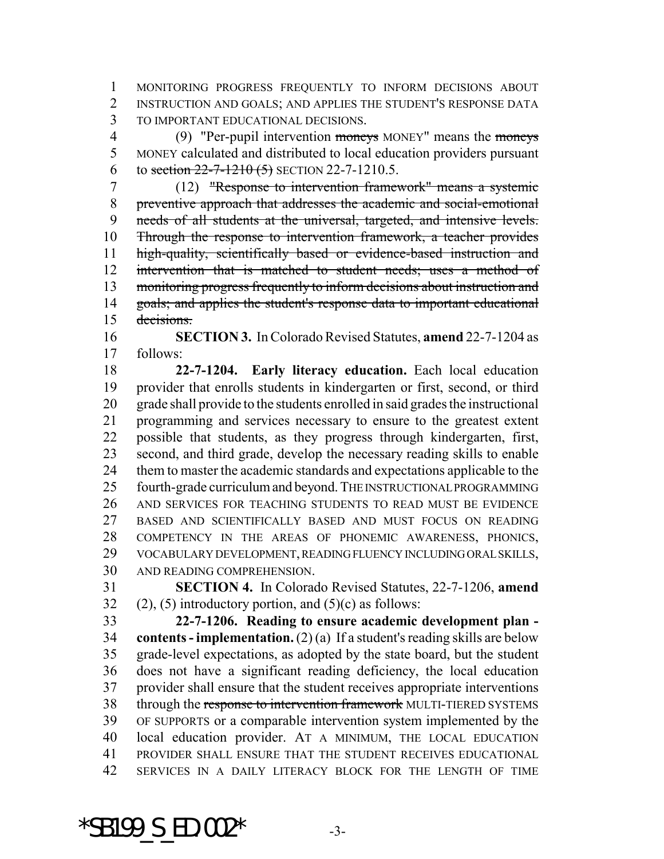MONITORING PROGRESS FREQUENTLY TO INFORM DECISIONS ABOUT INSTRUCTION AND GOALS; AND APPLIES THE STUDENT'S RESPONSE DATA TO IMPORTANT EDUCATIONAL DECISIONS.

4 (9) "Per-pupil intervention moneys MONEY" means the moneys MONEY calculated and distributed to local education providers pursuant 6 to section  $22 - 7 - 1210$  (5) SECTION 22-7-1210.5.

 (12) "Response to intervention framework" means a systemic preventive approach that addresses the academic and social-emotional needs of all students at the universal, targeted, and intensive levels. Through the response to intervention framework, a teacher provides high-quality, scientifically based or evidence-based instruction and 12 intervention that is matched to student needs; uses a method of monitoring progress frequently to inform decisions about instruction and 14 goals; and applies the student's response data to important educational decisions.

 **SECTION 3.** In Colorado Revised Statutes, **amend** 22-7-1204 as follows:

 **22-7-1204. Early literacy education.** Each local education provider that enrolls students in kindergarten or first, second, or third grade shall provide to the students enrolled in said grades the instructional programming and services necessary to ensure to the greatest extent possible that students, as they progress through kindergarten, first, second, and third grade, develop the necessary reading skills to enable them to master the academic standards and expectations applicable to the fourth-grade curriculum and beyond. THE INSTRUCTIONAL PROGRAMMING AND SERVICES FOR TEACHING STUDENTS TO READ MUST BE EVIDENCE BASED AND SCIENTIFICALLY BASED AND MUST FOCUS ON READING COMPETENCY IN THE AREAS OF PHONEMIC AWARENESS, PHONICS, VOCABULARY DEVELOPMENT, READING FLUENCY INCLUDING ORAL SKILLS, AND READING COMPREHENSION.

 **SECTION 4.** In Colorado Revised Statutes, 22-7-1206, **amend** 32 (2), (5) introductory portion, and  $(5)(c)$  as follows:

 **22-7-1206. Reading to ensure academic development plan - contents - implementation.** (2) (a) If a student's reading skills are below grade-level expectations, as adopted by the state board, but the student does not have a significant reading deficiency, the local education provider shall ensure that the student receives appropriate interventions 38 through the response to intervention framework MULTI-TIERED SYSTEMS OF SUPPORTS or a comparable intervention system implemented by the local education provider. AT A MINIMUM, THE LOCAL EDUCATION PROVIDER SHALL ENSURE THAT THE STUDENT RECEIVES EDUCATIONAL SERVICES IN A DAILY LITERACY BLOCK FOR THE LENGTH OF TIME

\*SB199  $S$  ED.002\*  $-3$ -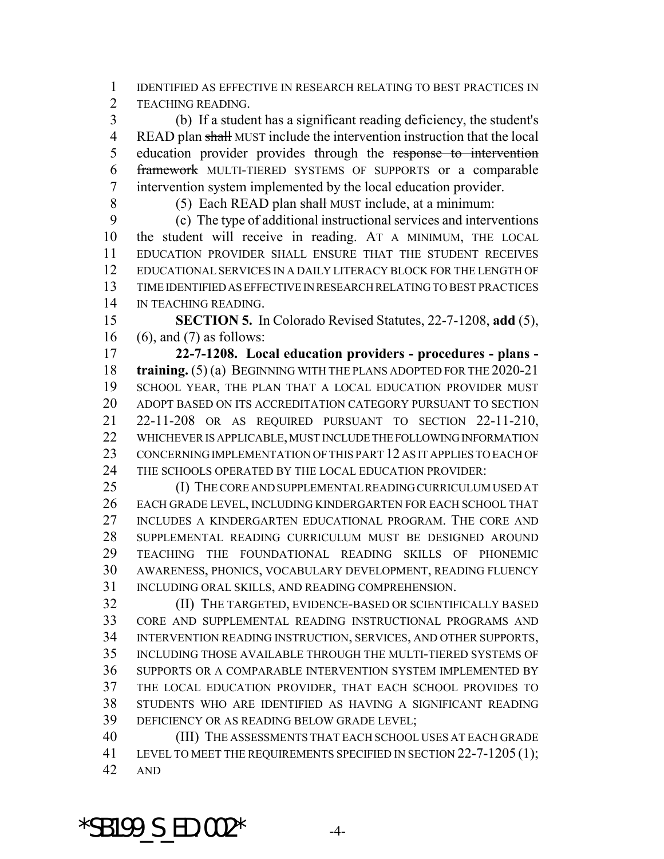IDENTIFIED AS EFFECTIVE IN RESEARCH RELATING TO BEST PRACTICES IN TEACHING READING.

 (b) If a student has a significant reading deficiency, the student's READ plan shall MUST include the intervention instruction that the local education provider provides through the response to intervention framework MULTI-TIERED SYSTEMS OF SUPPORTS or a comparable intervention system implemented by the local education provider.

8 (5) Each READ plan shall MUST include, at a minimum:

 (c) The type of additional instructional services and interventions the student will receive in reading. AT A MINIMUM, THE LOCAL EDUCATION PROVIDER SHALL ENSURE THAT THE STUDENT RECEIVES EDUCATIONAL SERVICES IN A DAILY LITERACY BLOCK FOR THE LENGTH OF TIME IDENTIFIED AS EFFECTIVE IN RESEARCH RELATING TO BEST PRACTICES IN TEACHING READING.

 **SECTION 5.** In Colorado Revised Statutes, 22-7-1208, **add** (5), (6), and (7) as follows:

 **22-7-1208. Local education providers - procedures - plans - training.** (5) (a) BEGINNING WITH THE PLANS ADOPTED FOR THE 2020-21 SCHOOL YEAR, THE PLAN THAT A LOCAL EDUCATION PROVIDER MUST ADOPT BASED ON ITS ACCREDITATION CATEGORY PURSUANT TO SECTION 22-11-208 OR AS REQUIRED PURSUANT TO SECTION 22-11-210, WHICHEVER IS APPLICABLE, MUST INCLUDE THE FOLLOWING INFORMATION CONCERNING IMPLEMENTATION OF THIS PART 12 AS IT APPLIES TO EACH OF THE SCHOOLS OPERATED BY THE LOCAL EDUCATION PROVIDER:

 (I) THE CORE AND SUPPLEMENTAL READING CURRICULUM USED AT EACH GRADE LEVEL, INCLUDING KINDERGARTEN FOR EACH SCHOOL THAT 27 INCLUDES A KINDERGARTEN EDUCATIONAL PROGRAM. THE CORE AND SUPPLEMENTAL READING CURRICULUM MUST BE DESIGNED AROUND TEACHING THE FOUNDATIONAL READING SKILLS OF PHONEMIC AWARENESS, PHONICS, VOCABULARY DEVELOPMENT, READING FLUENCY INCLUDING ORAL SKILLS, AND READING COMPREHENSION.

 (II) THE TARGETED, EVIDENCE-BASED OR SCIENTIFICALLY BASED CORE AND SUPPLEMENTAL READING INSTRUCTIONAL PROGRAMS AND INTERVENTION READING INSTRUCTION, SERVICES, AND OTHER SUPPORTS, INCLUDING THOSE AVAILABLE THROUGH THE MULTI-TIERED SYSTEMS OF SUPPORTS OR A COMPARABLE INTERVENTION SYSTEM IMPLEMENTED BY THE LOCAL EDUCATION PROVIDER, THAT EACH SCHOOL PROVIDES TO STUDENTS WHO ARE IDENTIFIED AS HAVING A SIGNIFICANT READING DEFICIENCY OR AS READING BELOW GRADE LEVEL;

 (III) THE ASSESSMENTS THAT EACH SCHOOL USES AT EACH GRADE 41 LEVEL TO MEET THE REQUIREMENTS SPECIFIED IN SECTION 22-7-1205 (1); AND

 $*$ SB199 S ED.002 $*$  -4-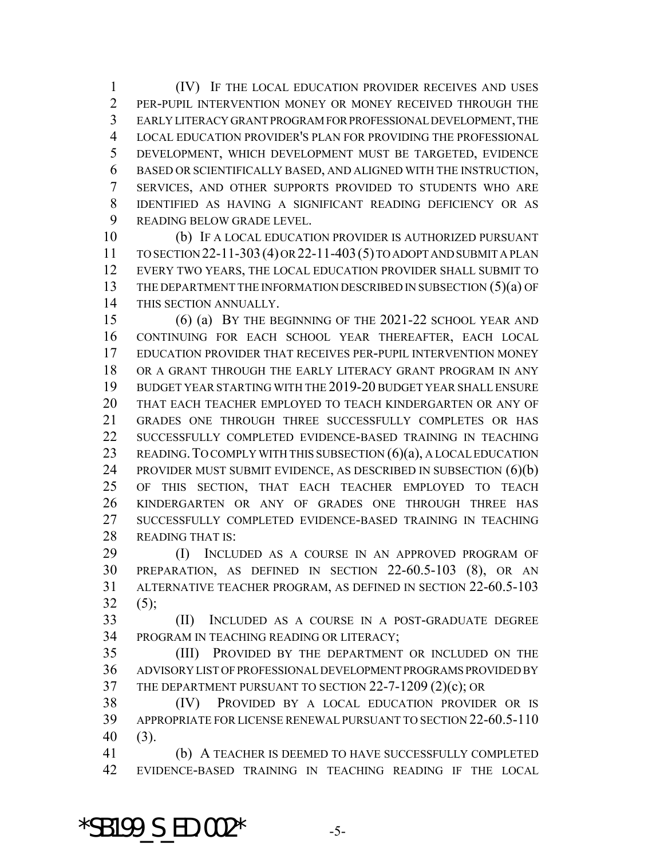(IV) IF THE LOCAL EDUCATION PROVIDER RECEIVES AND USES PER-PUPIL INTERVENTION MONEY OR MONEY RECEIVED THROUGH THE EARLY LITERACY GRANT PROGRAM FOR PROFESSIONAL DEVELOPMENT, THE LOCAL EDUCATION PROVIDER'S PLAN FOR PROVIDING THE PROFESSIONAL DEVELOPMENT, WHICH DEVELOPMENT MUST BE TARGETED, EVIDENCE BASED OR SCIENTIFICALLY BASED, AND ALIGNED WITH THE INSTRUCTION, SERVICES, AND OTHER SUPPORTS PROVIDED TO STUDENTS WHO ARE IDENTIFIED AS HAVING A SIGNIFICANT READING DEFICIENCY OR AS READING BELOW GRADE LEVEL.

 (b) IF A LOCAL EDUCATION PROVIDER IS AUTHORIZED PURSUANT TO SECTION 22-11-303(4) OR 22-11-403(5) TO ADOPT AND SUBMIT A PLAN EVERY TWO YEARS, THE LOCAL EDUCATION PROVIDER SHALL SUBMIT TO THE DEPARTMENT THE INFORMATION DESCRIBED IN SUBSECTION (5)(a) OF THIS SECTION ANNUALLY.

 (6) (a) BY THE BEGINNING OF THE 2021-22 SCHOOL YEAR AND CONTINUING FOR EACH SCHOOL YEAR THEREAFTER, EACH LOCAL EDUCATION PROVIDER THAT RECEIVES PER-PUPIL INTERVENTION MONEY OR A GRANT THROUGH THE EARLY LITERACY GRANT PROGRAM IN ANY BUDGET YEAR STARTING WITH THE 2019-20 BUDGET YEAR SHALL ENSURE THAT EACH TEACHER EMPLOYED TO TEACH KINDERGARTEN OR ANY OF GRADES ONE THROUGH THREE SUCCESSFULLY COMPLETES OR HAS SUCCESSFULLY COMPLETED EVIDENCE-BASED TRAINING IN TEACHING 23 READING. TO COMPLY WITH THIS SUBSECTION (6)(a), A LOCAL EDUCATION PROVIDER MUST SUBMIT EVIDENCE, AS DESCRIBED IN SUBSECTION (6)(b) OF THIS SECTION, THAT EACH TEACHER EMPLOYED TO TEACH KINDERGARTEN OR ANY OF GRADES ONE THROUGH THREE HAS SUCCESSFULLY COMPLETED EVIDENCE-BASED TRAINING IN TEACHING READING THAT IS:

 (I) INCLUDED AS A COURSE IN AN APPROVED PROGRAM OF PREPARATION, AS DEFINED IN SECTION 22-60.5-103 (8), OR AN ALTERNATIVE TEACHER PROGRAM, AS DEFINED IN SECTION 22-60.5-103  $32 (5)$ ;

 (II) INCLUDED AS A COURSE IN A POST-GRADUATE DEGREE PROGRAM IN TEACHING READING OR LITERACY;

 (III) PROVIDED BY THE DEPARTMENT OR INCLUDED ON THE ADVISORY LIST OF PROFESSIONAL DEVELOPMENT PROGRAMS PROVIDED BY THE DEPARTMENT PURSUANT TO SECTION 22-7-1209 (2)(c); OR

 (IV) PROVIDED BY A LOCAL EDUCATION PROVIDER OR IS APPROPRIATE FOR LICENSE RENEWAL PURSUANT TO SECTION 22-60.5-110 (3).

 (b) A TEACHER IS DEEMED TO HAVE SUCCESSFULLY COMPLETED EVIDENCE-BASED TRAINING IN TEACHING READING IF THE LOCAL

\*SB199  $S$  ED.002\*  $-5$ -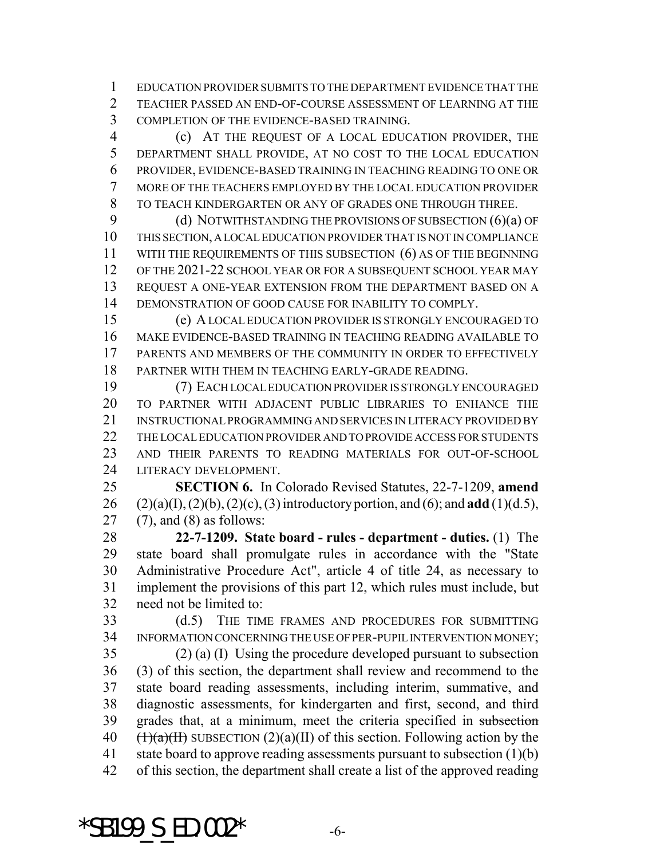EDUCATION PROVIDER SUBMITS TO THE DEPARTMENT EVIDENCE THAT THE TEACHER PASSED AN END-OF-COURSE ASSESSMENT OF LEARNING AT THE COMPLETION OF THE EVIDENCE-BASED TRAINING.

 (c) AT THE REQUEST OF A LOCAL EDUCATION PROVIDER, THE DEPARTMENT SHALL PROVIDE, AT NO COST TO THE LOCAL EDUCATION PROVIDER, EVIDENCE-BASED TRAINING IN TEACHING READING TO ONE OR MORE OF THE TEACHERS EMPLOYED BY THE LOCAL EDUCATION PROVIDER TO TEACH KINDERGARTEN OR ANY OF GRADES ONE THROUGH THREE.

9 (d) NOTWITHSTANDING THE PROVISIONS OF SUBSECTION (6)(a) OF THIS SECTION, A LOCAL EDUCATION PROVIDER THAT IS NOT IN COMPLIANCE 11 WITH THE REQUIREMENTS OF THIS SUBSECTION (6) AS OF THE BEGINNING OF THE 2021-22 SCHOOL YEAR OR FOR A SUBSEQUENT SCHOOL YEAR MAY REQUEST A ONE-YEAR EXTENSION FROM THE DEPARTMENT BASED ON A DEMONSTRATION OF GOOD CAUSE FOR INABILITY TO COMPLY.

 (e) A LOCAL EDUCATION PROVIDER IS STRONGLY ENCOURAGED TO MAKE EVIDENCE-BASED TRAINING IN TEACHING READING AVAILABLE TO PARENTS AND MEMBERS OF THE COMMUNITY IN ORDER TO EFFECTIVELY PARTNER WITH THEM IN TEACHING EARLY-GRADE READING.

 (7) EACH LOCAL EDUCATION PROVIDER IS STRONGLY ENCOURAGED TO PARTNER WITH ADJACENT PUBLIC LIBRARIES TO ENHANCE THE INSTRUCTIONAL PROGRAMMING AND SERVICES IN LITERACY PROVIDED BY 22 THE LOCAL EDUCATION PROVIDER AND TO PROVIDE ACCESS FOR STUDENTS AND THEIR PARENTS TO READING MATERIALS FOR OUT-OF-SCHOOL LITERACY DEVELOPMENT.

 **SECTION 6.** In Colorado Revised Statutes, 22-7-1209, **amend** (2)(a)(I), (2)(b), (2)(c), (3) introductory portion, and (6); and **add** (1)(d.5), (7), and (8) as follows:

 **22-7-1209. State board - rules - department - duties.** (1) The state board shall promulgate rules in accordance with the "State Administrative Procedure Act", article 4 of title 24, as necessary to implement the provisions of this part 12, which rules must include, but need not be limited to:

 (d.5) THE TIME FRAMES AND PROCEDURES FOR SUBMITTING INFORMATION CONCERNING THE USE OF PER-PUPIL INTERVENTION MONEY;

 (2) (a) (I) Using the procedure developed pursuant to subsection (3) of this section, the department shall review and recommend to the state board reading assessments, including interim, summative, and diagnostic assessments, for kindergarten and first, second, and third 39 grades that, at a minimum, meet the criteria specified in subsection  $(\frac{1}{a})(\frac{1}{b})$  SUBSECTION  $(2)(a)(II)$  of this section. Following action by the 41 state board to approve reading assessments pursuant to subsection (1)(b) of this section, the department shall create a list of the approved reading

 $*$ SB199 S ED.002 $*$  -6-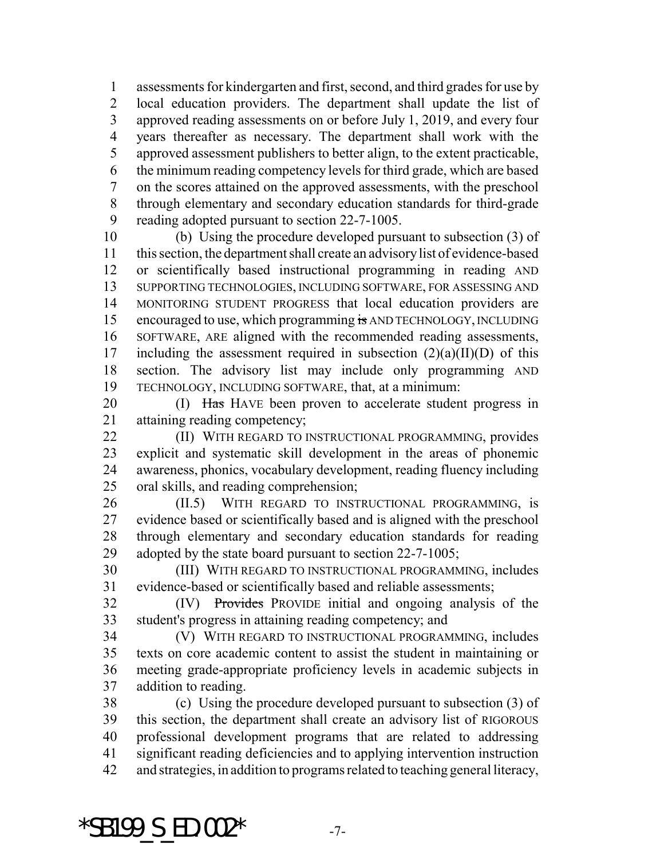assessments for kindergarten and first, second, and third grades for use by local education providers. The department shall update the list of approved reading assessments on or before July 1, 2019, and every four years thereafter as necessary. The department shall work with the approved assessment publishers to better align, to the extent practicable, the minimum reading competency levels for third grade, which are based on the scores attained on the approved assessments, with the preschool through elementary and secondary education standards for third-grade reading adopted pursuant to section 22-7-1005.

 (b) Using the procedure developed pursuant to subsection (3) of this section, the department shall create an advisory list of evidence-based or scientifically based instructional programming in reading AND SUPPORTING TECHNOLOGIES, INCLUDING SOFTWARE, FOR ASSESSING AND MONITORING STUDENT PROGRESS that local education providers are 15 encouraged to use, which programming is AND TECHNOLOGY, INCLUDING SOFTWARE, ARE aligned with the recommended reading assessments, 17 including the assessment required in subsection  $(2)(a)(II)(D)$  of this section. The advisory list may include only programming AND TECHNOLOGY, INCLUDING SOFTWARE, that, at a minimum:

20 (I) Has HAVE been proven to accelerate student progress in attaining reading competency;

**(II) WITH REGARD TO INSTRUCTIONAL PROGRAMMING, provides**  explicit and systematic skill development in the areas of phonemic awareness, phonics, vocabulary development, reading fluency including oral skills, and reading comprehension;

 (II.5) WITH REGARD TO INSTRUCTIONAL PROGRAMMING, is evidence based or scientifically based and is aligned with the preschool through elementary and secondary education standards for reading adopted by the state board pursuant to section 22-7-1005;

 (III) WITH REGARD TO INSTRUCTIONAL PROGRAMMING, includes evidence-based or scientifically based and reliable assessments;

 (IV) Provides PROVIDE initial and ongoing analysis of the student's progress in attaining reading competency; and

 (V) WITH REGARD TO INSTRUCTIONAL PROGRAMMING, includes texts on core academic content to assist the student in maintaining or meeting grade-appropriate proficiency levels in academic subjects in addition to reading.

 (c) Using the procedure developed pursuant to subsection (3) of this section, the department shall create an advisory list of RIGOROUS professional development programs that are related to addressing significant reading deficiencies and to applying intervention instruction and strategies, in addition to programs related to teaching general literacy,

 $*$ SB199 S ED.002 $*$  -7-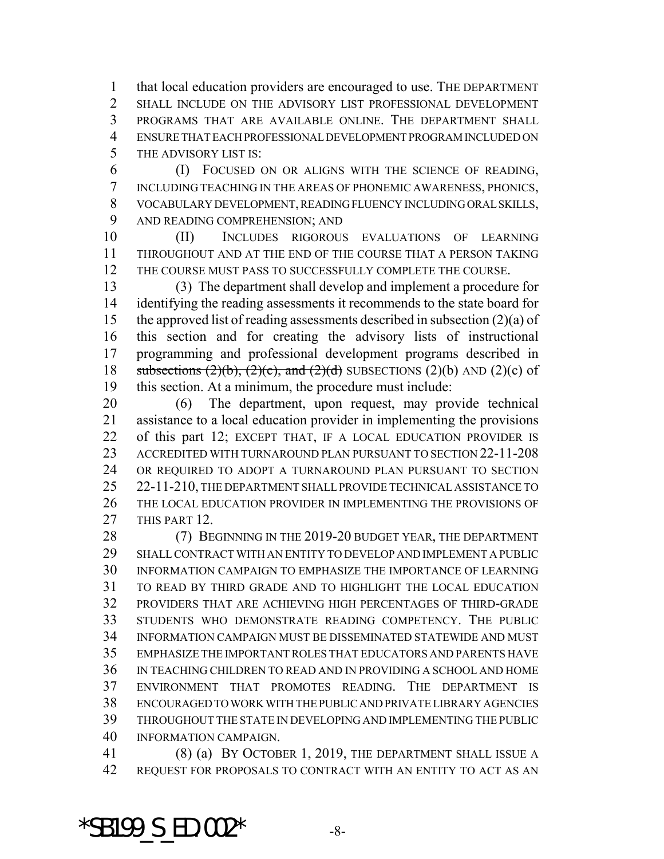that local education providers are encouraged to use. THE DEPARTMENT SHALL INCLUDE ON THE ADVISORY LIST PROFESSIONAL DEVELOPMENT PROGRAMS THAT ARE AVAILABLE ONLINE. THE DEPARTMENT SHALL ENSURE THAT EACH PROFESSIONAL DEVELOPMENT PROGRAM INCLUDED ON THE ADVISORY LIST IS:

 (I) FOCUSED ON OR ALIGNS WITH THE SCIENCE OF READING, INCLUDING TEACHING IN THE AREAS OF PHONEMIC AWARENESS, PHONICS, VOCABULARY DEVELOPMENT, READING FLUENCY INCLUDING ORAL SKILLS, AND READING COMPREHENSION; AND

 (II) INCLUDES RIGOROUS EVALUATIONS OF LEARNING THROUGHOUT AND AT THE END OF THE COURSE THAT A PERSON TAKING THE COURSE MUST PASS TO SUCCESSFULLY COMPLETE THE COURSE.

 (3) The department shall develop and implement a procedure for identifying the reading assessments it recommends to the state board for the approved list of reading assessments described in subsection (2)(a) of this section and for creating the advisory lists of instructional programming and professional development programs described in 18 subsections  $(2)(b)$ ,  $(2)(c)$ , and  $(2)(d)$  SUBSECTIONS  $(2)(b)$  AND  $(2)(c)$  of this section. At a minimum, the procedure must include:

 (6) The department, upon request, may provide technical assistance to a local education provider in implementing the provisions of this part 12; EXCEPT THAT, IF A LOCAL EDUCATION PROVIDER IS ACCREDITED WITH TURNAROUND PLAN PURSUANT TO SECTION 22-11-208 OR REQUIRED TO ADOPT A TURNAROUND PLAN PURSUANT TO SECTION 22-11-210, THE DEPARTMENT SHALL PROVIDE TECHNICAL ASSISTANCE TO THE LOCAL EDUCATION PROVIDER IN IMPLEMENTING THE PROVISIONS OF 27 THIS PART 12.

28 (7) BEGINNING IN THE 2019-20 BUDGET YEAR, THE DEPARTMENT SHALL CONTRACT WITH AN ENTITY TO DEVELOP AND IMPLEMENT A PUBLIC INFORMATION CAMPAIGN TO EMPHASIZE THE IMPORTANCE OF LEARNING TO READ BY THIRD GRADE AND TO HIGHLIGHT THE LOCAL EDUCATION PROVIDERS THAT ARE ACHIEVING HIGH PERCENTAGES OF THIRD-GRADE STUDENTS WHO DEMONSTRATE READING COMPETENCY. THE PUBLIC INFORMATION CAMPAIGN MUST BE DISSEMINATED STATEWIDE AND MUST EMPHASIZE THE IMPORTANT ROLES THAT EDUCATORS AND PARENTS HAVE IN TEACHING CHILDREN TO READ AND IN PROVIDING A SCHOOL AND HOME ENVIRONMENT THAT PROMOTES READING. THE DEPARTMENT IS ENCOURAGED TO WORK WITH THE PUBLIC AND PRIVATE LIBRARY AGENCIES THROUGHOUT THE STATE IN DEVELOPING AND IMPLEMENTING THE PUBLIC INFORMATION CAMPAIGN.

 (8) (a) BY OCTOBER 1, 2019, THE DEPARTMENT SHALL ISSUE A REQUEST FOR PROPOSALS TO CONTRACT WITH AN ENTITY TO ACT AS AN

\*SB199  $S$  ED.002\*  $-8$ -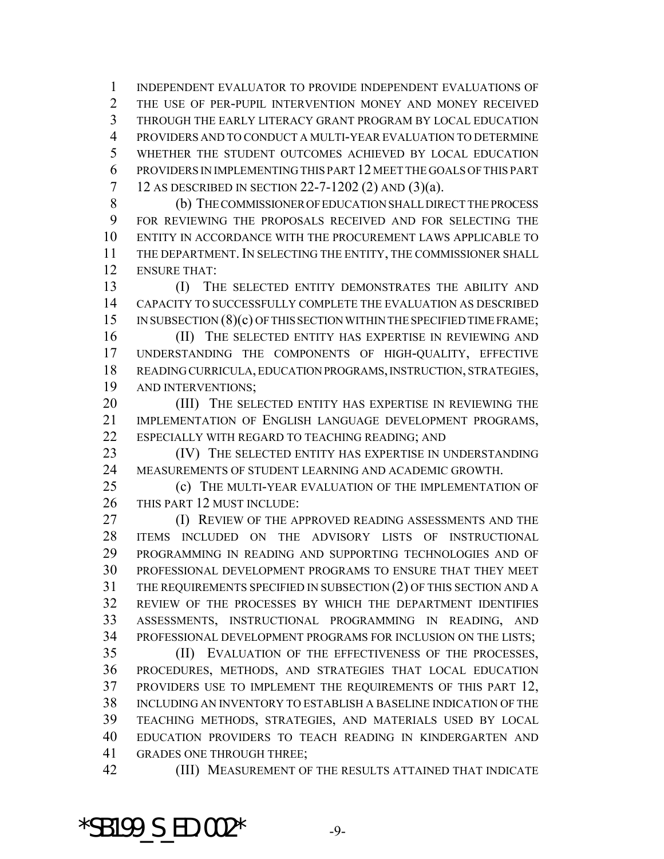INDEPENDENT EVALUATOR TO PROVIDE INDEPENDENT EVALUATIONS OF THE USE OF PER-PUPIL INTERVENTION MONEY AND MONEY RECEIVED THROUGH THE EARLY LITERACY GRANT PROGRAM BY LOCAL EDUCATION PROVIDERS AND TO CONDUCT A MULTI-YEAR EVALUATION TO DETERMINE WHETHER THE STUDENT OUTCOMES ACHIEVED BY LOCAL EDUCATION PROVIDERS IN IMPLEMENTING THIS PART 12 MEET THE GOALS OF THIS PART 12 AS DESCRIBED IN SECTION 22-7-1202 (2) AND (3)(a).

 (b) THE COMMISSIONER OF EDUCATION SHALL DIRECT THE PROCESS FOR REVIEWING THE PROPOSALS RECEIVED AND FOR SELECTING THE ENTITY IN ACCORDANCE WITH THE PROCUREMENT LAWS APPLICABLE TO THE DEPARTMENT. IN SELECTING THE ENTITY, THE COMMISSIONER SHALL ENSURE THAT:

 (I) THE SELECTED ENTITY DEMONSTRATES THE ABILITY AND CAPACITY TO SUCCESSFULLY COMPLETE THE EVALUATION AS DESCRIBED 15 IN SUBSECTION (8)(c) OF THIS SECTION WITHIN THE SPECIFIED TIME FRAME;

16 (II) THE SELECTED ENTITY HAS EXPERTISE IN REVIEWING AND UNDERSTANDING THE COMPONENTS OF HIGH-QUALITY, EFFECTIVE READING CURRICULA, EDUCATION PROGRAMS, INSTRUCTION, STRATEGIES, AND INTERVENTIONS;

20 (III) THE SELECTED ENTITY HAS EXPERTISE IN REVIEWING THE IMPLEMENTATION OF ENGLISH LANGUAGE DEVELOPMENT PROGRAMS, 22 ESPECIALLY WITH REGARD TO TEACHING READING; AND

23 (IV) THE SELECTED ENTITY HAS EXPERTISE IN UNDERSTANDING MEASUREMENTS OF STUDENT LEARNING AND ACADEMIC GROWTH.

 (c) THE MULTI-YEAR EVALUATION OF THE IMPLEMENTATION OF THIS PART 12 MUST INCLUDE:

**(I) REVIEW OF THE APPROVED READING ASSESSMENTS AND THE**  ITEMS INCLUDED ON THE ADVISORY LISTS OF INSTRUCTIONAL PROGRAMMING IN READING AND SUPPORTING TECHNOLOGIES AND OF PROFESSIONAL DEVELOPMENT PROGRAMS TO ENSURE THAT THEY MEET THE REQUIREMENTS SPECIFIED IN SUBSECTION (2) OF THIS SECTION AND A REVIEW OF THE PROCESSES BY WHICH THE DEPARTMENT IDENTIFIES ASSESSMENTS, INSTRUCTIONAL PROGRAMMING IN READING, AND PROFESSIONAL DEVELOPMENT PROGRAMS FOR INCLUSION ON THE LISTS;

 (II) EVALUATION OF THE EFFECTIVENESS OF THE PROCESSES, PROCEDURES, METHODS, AND STRATEGIES THAT LOCAL EDUCATION PROVIDERS USE TO IMPLEMENT THE REQUIREMENTS OF THIS PART 12, INCLUDING AN INVENTORY TO ESTABLISH A BASELINE INDICATION OF THE TEACHING METHODS, STRATEGIES, AND MATERIALS USED BY LOCAL EDUCATION PROVIDERS TO TEACH READING IN KINDERGARTEN AND GRADES ONE THROUGH THREE;

(III) MEASUREMENT OF THE RESULTS ATTAINED THAT INDICATE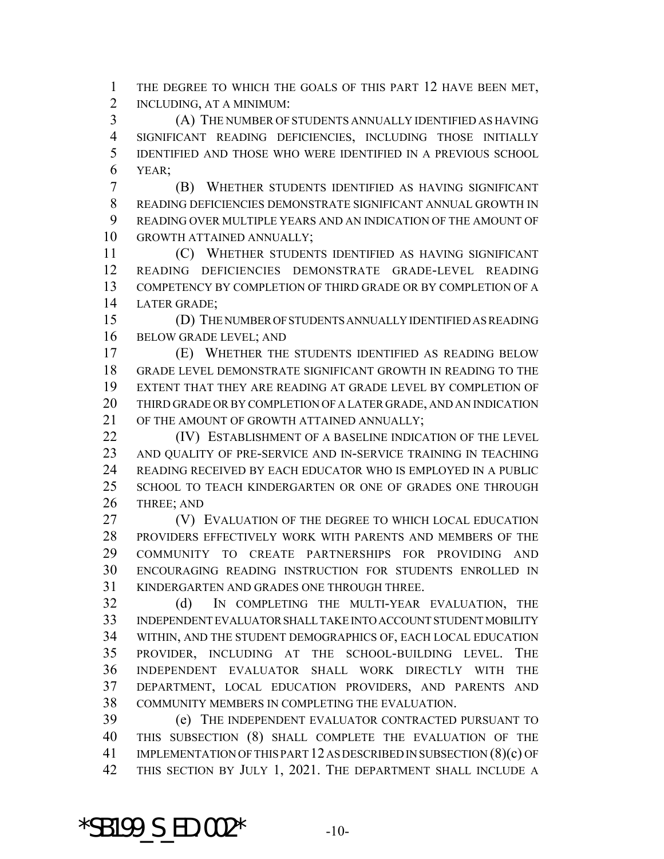THE DEGREE TO WHICH THE GOALS OF THIS PART 12 HAVE BEEN MET, INCLUDING, AT A MINIMUM:

 (A) THE NUMBER OF STUDENTS ANNUALLY IDENTIFIED AS HAVING SIGNIFICANT READING DEFICIENCIES, INCLUDING THOSE INITIALLY IDENTIFIED AND THOSE WHO WERE IDENTIFIED IN A PREVIOUS SCHOOL YEAR;

 (B) WHETHER STUDENTS IDENTIFIED AS HAVING SIGNIFICANT READING DEFICIENCIES DEMONSTRATE SIGNIFICANT ANNUAL GROWTH IN READING OVER MULTIPLE YEARS AND AN INDICATION OF THE AMOUNT OF GROWTH ATTAINED ANNUALLY;

 (C) WHETHER STUDENTS IDENTIFIED AS HAVING SIGNIFICANT READING DEFICIENCIES DEMONSTRATE GRADE-LEVEL READING COMPETENCY BY COMPLETION OF THIRD GRADE OR BY COMPLETION OF A LATER GRADE;

 (D) THE NUMBER OF STUDENTS ANNUALLY IDENTIFIED AS READING BELOW GRADE LEVEL; AND

 (E) WHETHER THE STUDENTS IDENTIFIED AS READING BELOW GRADE LEVEL DEMONSTRATE SIGNIFICANT GROWTH IN READING TO THE EXTENT THAT THEY ARE READING AT GRADE LEVEL BY COMPLETION OF THIRD GRADE OR BY COMPLETION OF A LATER GRADE, AND AN INDICATION 21 OF THE AMOUNT OF GROWTH ATTAINED ANNUALLY;

**(IV) ESTABLISHMENT OF A BASELINE INDICATION OF THE LEVEL**  AND QUALITY OF PRE-SERVICE AND IN-SERVICE TRAINING IN TEACHING READING RECEIVED BY EACH EDUCATOR WHO IS EMPLOYED IN A PUBLIC 25 SCHOOL TO TEACH KINDERGARTEN OR ONE OF GRADES ONE THROUGH THREE; AND

 (V) EVALUATION OF THE DEGREE TO WHICH LOCAL EDUCATION PROVIDERS EFFECTIVELY WORK WITH PARENTS AND MEMBERS OF THE COMMUNITY TO CREATE PARTNERSHIPS FOR PROVIDING AND ENCOURAGING READING INSTRUCTION FOR STUDENTS ENROLLED IN KINDERGARTEN AND GRADES ONE THROUGH THREE.

 (d) IN COMPLETING THE MULTI-YEAR EVALUATION, THE INDEPENDENT EVALUATOR SHALL TAKE INTO ACCOUNT STUDENT MOBILITY WITHIN, AND THE STUDENT DEMOGRAPHICS OF, EACH LOCAL EDUCATION PROVIDER, INCLUDING AT THE SCHOOL-BUILDING LEVEL. THE INDEPENDENT EVALUATOR SHALL WORK DIRECTLY WITH THE DEPARTMENT, LOCAL EDUCATION PROVIDERS, AND PARENTS AND COMMUNITY MEMBERS IN COMPLETING THE EVALUATION.

 (e) THE INDEPENDENT EVALUATOR CONTRACTED PURSUANT TO THIS SUBSECTION (8) SHALL COMPLETE THE EVALUATION OF THE IMPLEMENTATION OF THIS PART 12 AS DESCRIBED IN SUBSECTION (8)(c) OF THIS SECTION BY JULY 1, 2021. THE DEPARTMENT SHALL INCLUDE A

\*SB199  $S$  ED.002\*  $-10-$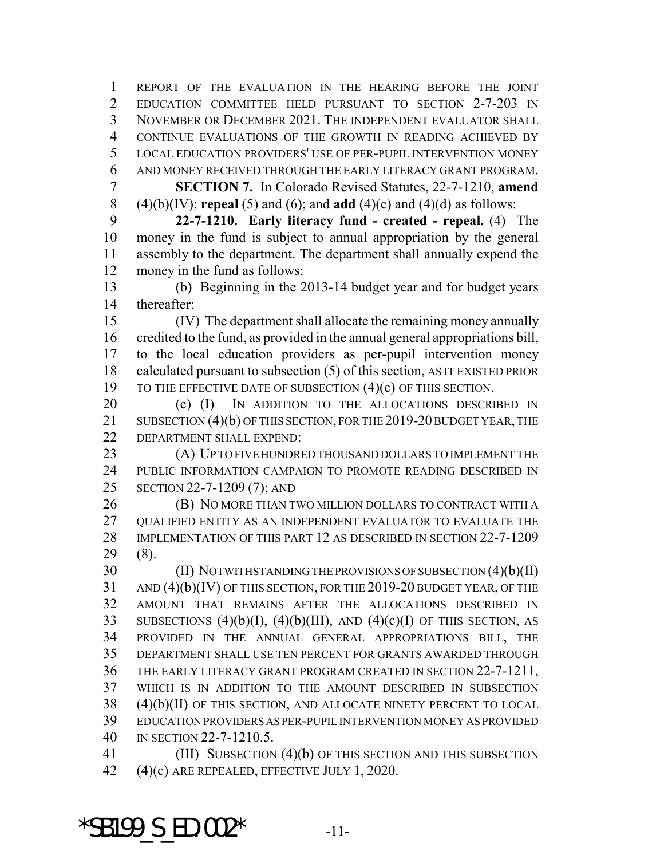REPORT OF THE EVALUATION IN THE HEARING BEFORE THE JOINT EDUCATION COMMITTEE HELD PURSUANT TO SECTION 2-7-203 IN NOVEMBER OR DECEMBER 2021. THE INDEPENDENT EVALUATOR SHALL CONTINUE EVALUATIONS OF THE GROWTH IN READING ACHIEVED BY LOCAL EDUCATION PROVIDERS' USE OF PER-PUPIL INTERVENTION MONEY AND MONEY RECEIVED THROUGH THE EARLY LITERACY GRANT PROGRAM. **SECTION 7.** In Colorado Revised Statutes, 22-7-1210, **amend** (4)(b)(IV); **repeal** (5) and (6); and **add** (4)(c) and (4)(d) as follows:

 **22-7-1210. Early literacy fund - created - repeal.** (4) The money in the fund is subject to annual appropriation by the general assembly to the department. The department shall annually expend the money in the fund as follows:

 (b) Beginning in the 2013-14 budget year and for budget years thereafter:

 (IV) The department shall allocate the remaining money annually credited to the fund, as provided in the annual general appropriations bill, to the local education providers as per-pupil intervention money calculated pursuant to subsection (5) of this section, AS IT EXISTED PRIOR 19 TO THE EFFECTIVE DATE OF SUBSECTION (4)(c) OF THIS SECTION.

20 (c) (I) IN ADDITION TO THE ALLOCATIONS DESCRIBED IN 21 SUBSECTION (4)(b) OF THIS SECTION, FOR THE 2019-20 BUDGET YEAR, THE DEPARTMENT SHALL EXPEND:

 (A) UP TO FIVE HUNDRED THOUSAND DOLLARS TO IMPLEMENT THE PUBLIC INFORMATION CAMPAIGN TO PROMOTE READING DESCRIBED IN SECTION 22-7-1209 (7); AND

**(B) NO MORE THAN TWO MILLION DOLLARS TO CONTRACT WITH A** 27 OUALIFIED ENTITY AS AN INDEPENDENT EVALUATOR TO EVALUATE THE IMPLEMENTATION OF THIS PART 12 AS DESCRIBED IN SECTION 22-7-1209 (8).

 (II) NOTWITHSTANDING THE PROVISIONS OF SUBSECTION (4)(b)(II) AND (4)(b)(IV) OF THIS SECTION, FOR THE 2019-20 BUDGET YEAR, OF THE AMOUNT THAT REMAINS AFTER THE ALLOCATIONS DESCRIBED IN 33 SUBSECTIONS  $(4)(b)(I)$ ,  $(4)(b)(III)$ , AND  $(4)(c)(I)$  OF THIS SECTION, AS PROVIDED IN THE ANNUAL GENERAL APPROPRIATIONS BILL, THE DEPARTMENT SHALL USE TEN PERCENT FOR GRANTS AWARDED THROUGH THE EARLY LITERACY GRANT PROGRAM CREATED IN SECTION 22-7-1211, WHICH IS IN ADDITION TO THE AMOUNT DESCRIBED IN SUBSECTION (4)(b)(II) OF THIS SECTION, AND ALLOCATE NINETY PERCENT TO LOCAL EDUCATION PROVIDERS AS PER-PUPIL INTERVENTION MONEY AS PROVIDED IN SECTION 22-7-1210.5.

41 (III) SUBSECTION (4)(b) OF THIS SECTION AND THIS SUBSECTION (4)(c) ARE REPEALED, EFFECTIVE JULY 1, 2020.

\*SB199 S ED.002\*  $-11$ -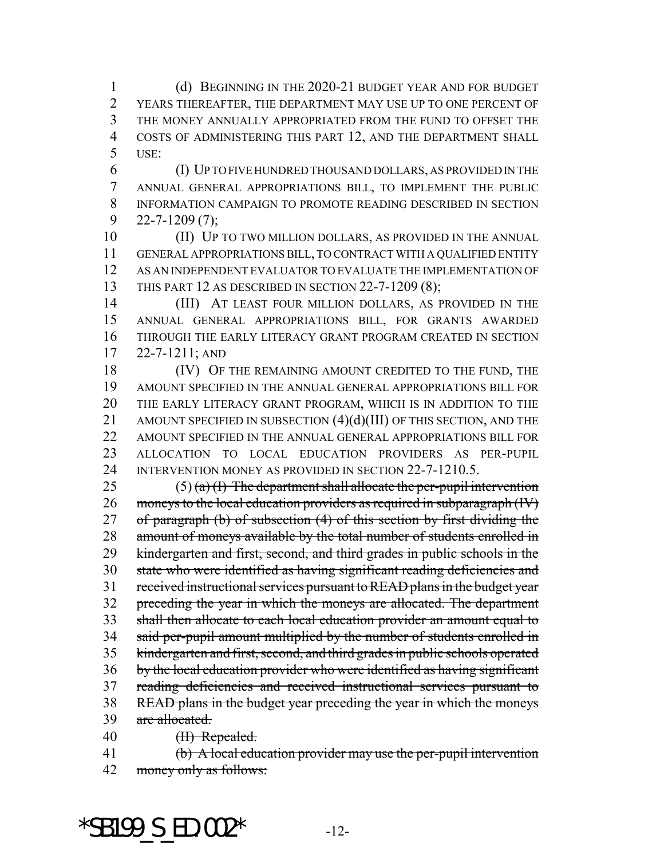(d) BEGINNING IN THE 2020-21 BUDGET YEAR AND FOR BUDGET YEARS THEREAFTER, THE DEPARTMENT MAY USE UP TO ONE PERCENT OF THE MONEY ANNUALLY APPROPRIATED FROM THE FUND TO OFFSET THE 4 COSTS OF ADMINISTERING THIS PART 12, AND THE DEPARTMENT SHALL USE:

 (I) UP TO FIVE HUNDRED THOUSAND DOLLARS, AS PROVIDED IN THE ANNUAL GENERAL APPROPRIATIONS BILL, TO IMPLEMENT THE PUBLIC INFORMATION CAMPAIGN TO PROMOTE READING DESCRIBED IN SECTION  $9 \quad 22 - 7 - 1209(7);$ 

10 (II) UP TO TWO MILLION DOLLARS, AS PROVIDED IN THE ANNUAL GENERAL APPROPRIATIONS BILL, TO CONTRACT WITH A QUALIFIED ENTITY AS AN INDEPENDENT EVALUATOR TO EVALUATE THE IMPLEMENTATION OF THIS PART 12 AS DESCRIBED IN SECTION 22-7-1209 (8);

 (III) AT LEAST FOUR MILLION DOLLARS, AS PROVIDED IN THE ANNUAL GENERAL APPROPRIATIONS BILL, FOR GRANTS AWARDED THROUGH THE EARLY LITERACY GRANT PROGRAM CREATED IN SECTION 22-7-1211; AND

18 (IV) OF THE REMAINING AMOUNT CREDITED TO THE FUND, THE AMOUNT SPECIFIED IN THE ANNUAL GENERAL APPROPRIATIONS BILL FOR THE EARLY LITERACY GRANT PROGRAM, WHICH IS IN ADDITION TO THE 21 AMOUNT SPECIFIED IN SUBSECTION (4)(d)(III) OF THIS SECTION, AND THE 22 AMOUNT SPECIFIED IN THE ANNUAL GENERAL APPROPRIATIONS BILL FOR ALLOCATION TO LOCAL EDUCATION PROVIDERS AS PER-PUPIL INTERVENTION MONEY AS PROVIDED IN SECTION 22-7-1210.5.

25 (5) (a) (I) The department shall allocate the per-pupil intervention 26 moneys to the local education providers as required in subparagraph (IV) 27 of paragraph (b) of subsection (4) of this section by first dividing the 28 amount of moneys available by the total number of students enrolled in kindergarten and first, second, and third grades in public schools in the state who were identified as having significant reading deficiencies and received instructional services pursuant to READ plans in the budget year preceding the year in which the moneys are allocated. The department shall then allocate to each local education provider an amount equal to 34 said per-pupil amount multiplied by the number of students enrolled in kindergarten and first, second, and third grades in public schools operated by the local education provider who were identified as having significant reading deficiencies and received instructional services pursuant to READ plans in the budget year preceding the year in which the moneys 39 are allocated. 40 <del>(II) Repealed.</del>

(b) A local education provider may use the per-pupil intervention

money only as follows:

\*SB199 S ED.002\*  $-12$ -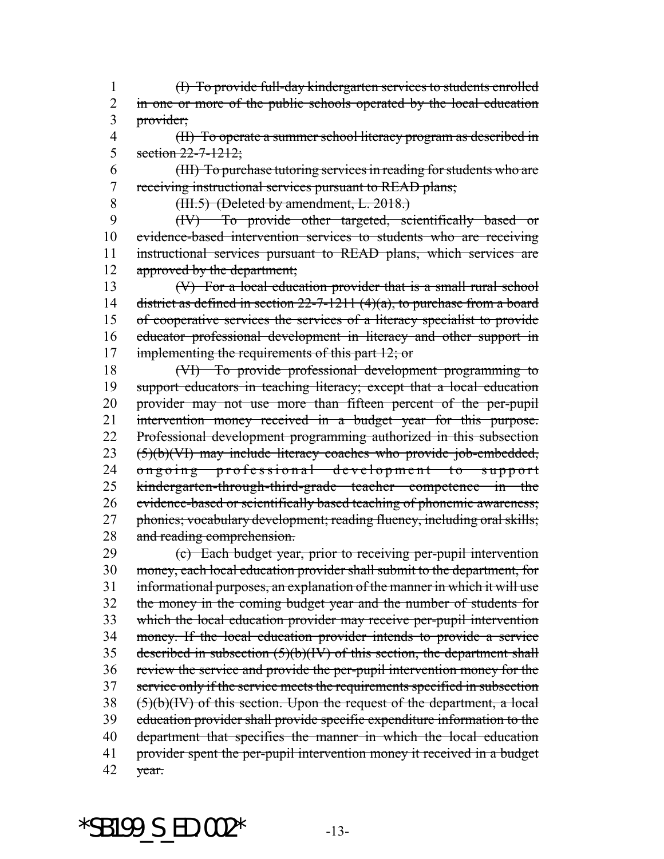(I) To provide full-day kindergarten services to students enrolled 2 in one or more of the public schools operated by the local education 3 provider;

 (II) To operate a summer school literacy program as described in 5 section  $22 - 7 - 1212$ ;

 (III) To purchase tutoring services in reading for students who are receiving instructional services pursuant to READ plans;

(III.5) (Deleted by amendment, L. 2018.)

 (IV) To provide other targeted, scientifically based or evidence-based intervention services to students who are receiving instructional services pursuant to READ plans, which services are 12 approved by the department;

 (V) For a local education provider that is a small rural school 14 district as defined in section  $22-7-1211$  (4)(a), to purchase from a board of cooperative services the services of a literacy specialist to provide educator professional development in literacy and other support in 17 implementing the requirements of this part 12; or

 (VI) To provide professional development programming to support educators in teaching literacy; except that a local education provider may not use more than fifteen percent of the per-pupil intervention money received in a budget year for this purpose. Professional development programming authorized in this subsection (5)(b)(VI) may include literacy coaches who provide job-embedded, ongoing professional development to support kindergarten-through-third-grade teacher competence in the evidence-based or scientifically based teaching of phonemic awareness; 27 phonics; vocabulary development; reading fluency, including oral skills; and reading comprehension.

 (c) Each budget year, prior to receiving per-pupil intervention money, each local education provider shall submit to the department, for informational purposes, an explanation of the manner in which it will use the money in the coming budget year and the number of students for which the local education provider may receive per-pupil intervention money. If the local education provider intends to provide a service 35 described in subsection  $(5)(b)(IV)$  of this section, the department shall review the service and provide the per-pupil intervention money for the service only if the service meets the requirements specified in subsection (5)(b)(IV) of this section. Upon the request of the department, a local education provider shall provide specific expenditure information to the department that specifies the manner in which the local education 41 provider spent the per-pupil intervention money it received in a budget  $42 \text{ year}$ .

\*SB199 S ED.002\*  $-13-$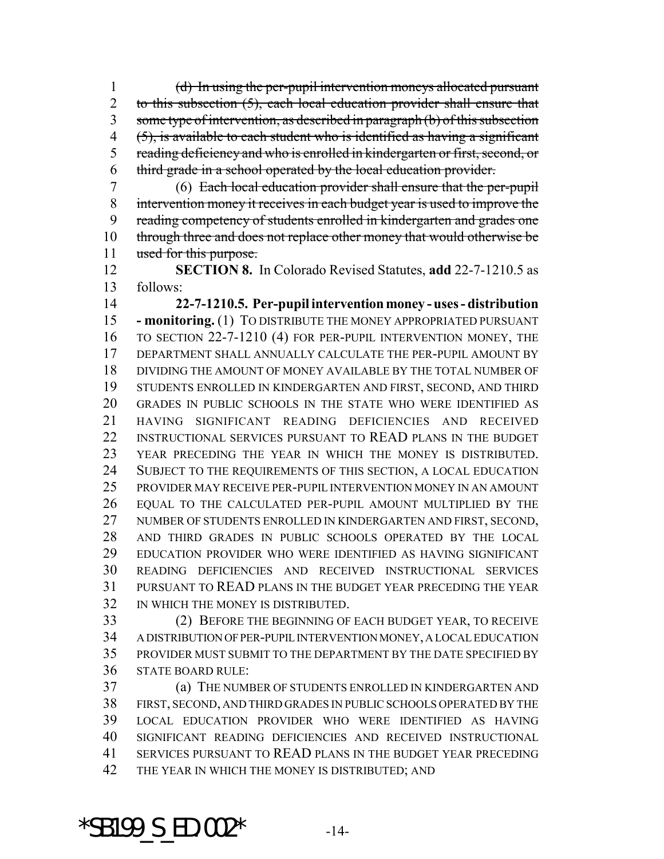(d) In using the per-pupil intervention moneys allocated pursuant 2 to this subsection (5), each local education provider shall ensure that some type of intervention, as described in paragraph (b) of this subsection (5), is available to each student who is identified as having a significant 5 reading deficiency and who is enrolled in kindergarten or first, second, or third grade in a school operated by the local education provider.

 (6) Each local education provider shall ensure that the per-pupil intervention money it receives in each budget year is used to improve the reading competency of students enrolled in kindergarten and grades one 10 through three and does not replace other money that would otherwise be 11 used for this purpose.

 **SECTION 8.** In Colorado Revised Statutes, **add** 22-7-1210.5 as follows:

 **22-7-1210.5. Per-pupil intervention money - uses - distribution - monitoring.** (1) TO DISTRIBUTE THE MONEY APPROPRIATED PURSUANT TO SECTION 22-7-1210 (4) FOR PER-PUPIL INTERVENTION MONEY, THE DEPARTMENT SHALL ANNUALLY CALCULATE THE PER-PUPIL AMOUNT BY DIVIDING THE AMOUNT OF MONEY AVAILABLE BY THE TOTAL NUMBER OF STUDENTS ENROLLED IN KINDERGARTEN AND FIRST, SECOND, AND THIRD GRADES IN PUBLIC SCHOOLS IN THE STATE WHO WERE IDENTIFIED AS HAVING SIGNIFICANT READING DEFICIENCIES AND RECEIVED 22 INSTRUCTIONAL SERVICES PURSUANT TO READ PLANS IN THE BUDGET YEAR PRECEDING THE YEAR IN WHICH THE MONEY IS DISTRIBUTED. SUBJECT TO THE REQUIREMENTS OF THIS SECTION, A LOCAL EDUCATION PROVIDER MAY RECEIVE PER-PUPIL INTERVENTION MONEY IN AN AMOUNT EQUAL TO THE CALCULATED PER-PUPIL AMOUNT MULTIPLIED BY THE NUMBER OF STUDENTS ENROLLED IN KINDERGARTEN AND FIRST, SECOND, AND THIRD GRADES IN PUBLIC SCHOOLS OPERATED BY THE LOCAL EDUCATION PROVIDER WHO WERE IDENTIFIED AS HAVING SIGNIFICANT READING DEFICIENCIES AND RECEIVED INSTRUCTIONAL SERVICES PURSUANT TO READ PLANS IN THE BUDGET YEAR PRECEDING THE YEAR IN WHICH THE MONEY IS DISTRIBUTED.

 (2) BEFORE THE BEGINNING OF EACH BUDGET YEAR, TO RECEIVE A DISTRIBUTION OF PER-PUPIL INTERVENTION MONEY, A LOCAL EDUCATION PROVIDER MUST SUBMIT TO THE DEPARTMENT BY THE DATE SPECIFIED BY STATE BOARD RULE:

 (a) THE NUMBER OF STUDENTS ENROLLED IN KINDERGARTEN AND FIRST, SECOND, AND THIRD GRADES IN PUBLIC SCHOOLS OPERATED BY THE LOCAL EDUCATION PROVIDER WHO WERE IDENTIFIED AS HAVING SIGNIFICANT READING DEFICIENCIES AND RECEIVED INSTRUCTIONAL SERVICES PURSUANT TO READ PLANS IN THE BUDGET YEAR PRECEDING 42 THE YEAR IN WHICH THE MONEY IS DISTRIBUTED; AND

\*SB199 S ED.002\*  $-14$ -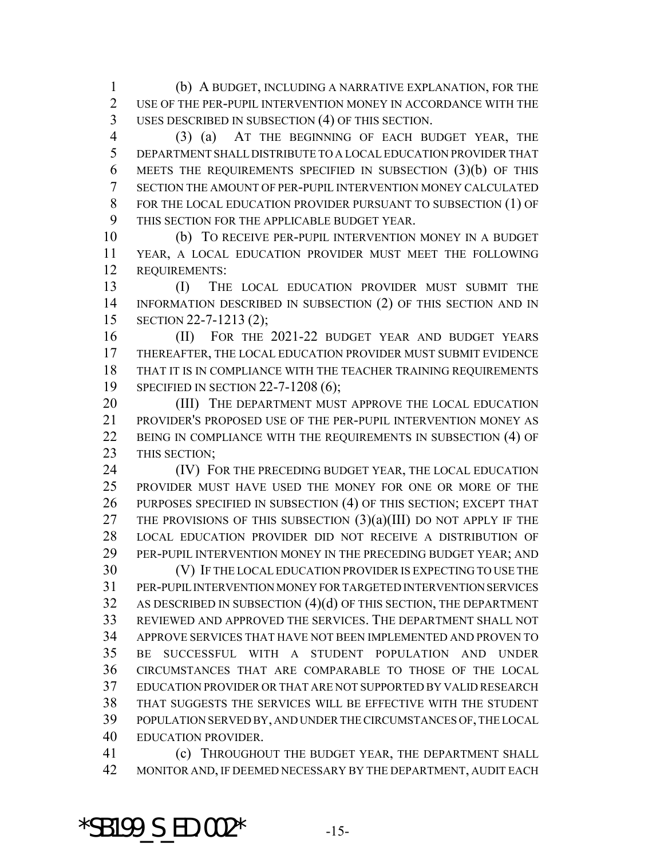(b) A BUDGET, INCLUDING A NARRATIVE EXPLANATION, FOR THE USE OF THE PER-PUPIL INTERVENTION MONEY IN ACCORDANCE WITH THE USES DESCRIBED IN SUBSECTION (4) OF THIS SECTION.

 (3) (a) AT THE BEGINNING OF EACH BUDGET YEAR, THE DEPARTMENT SHALL DISTRIBUTE TO A LOCAL EDUCATION PROVIDER THAT MEETS THE REQUIREMENTS SPECIFIED IN SUBSECTION (3)(b) OF THIS SECTION THE AMOUNT OF PER-PUPIL INTERVENTION MONEY CALCULATED FOR THE LOCAL EDUCATION PROVIDER PURSUANT TO SUBSECTION (1) OF THIS SECTION FOR THE APPLICABLE BUDGET YEAR.

 (b) TO RECEIVE PER-PUPIL INTERVENTION MONEY IN A BUDGET YEAR, A LOCAL EDUCATION PROVIDER MUST MEET THE FOLLOWING REQUIREMENTS:

 (I) THE LOCAL EDUCATION PROVIDER MUST SUBMIT THE INFORMATION DESCRIBED IN SUBSECTION (2) OF THIS SECTION AND IN SECTION 22-7-1213 (2);

 (II) FOR THE 2021-22 BUDGET YEAR AND BUDGET YEARS THEREAFTER, THE LOCAL EDUCATION PROVIDER MUST SUBMIT EVIDENCE THAT IT IS IN COMPLIANCE WITH THE TEACHER TRAINING REQUIREMENTS 19 SPECIFIED IN SECTION 22-7-1208 (6);

20 (III) THE DEPARTMENT MUST APPROVE THE LOCAL EDUCATION PROVIDER'S PROPOSED USE OF THE PER-PUPIL INTERVENTION MONEY AS BEING IN COMPLIANCE WITH THE REQUIREMENTS IN SUBSECTION (4) OF THIS SECTION;

24 (IV) FOR THE PRECEDING BUDGET YEAR, THE LOCAL EDUCATION PROVIDER MUST HAVE USED THE MONEY FOR ONE OR MORE OF THE PURPOSES SPECIFIED IN SUBSECTION (4) OF THIS SECTION; EXCEPT THAT 27 THE PROVISIONS OF THIS SUBSECTION  $(3)(a)(III)$  DO NOT APPLY IF THE LOCAL EDUCATION PROVIDER DID NOT RECEIVE A DISTRIBUTION OF PER-PUPIL INTERVENTION MONEY IN THE PRECEDING BUDGET YEAR; AND

 (V) IF THE LOCAL EDUCATION PROVIDER IS EXPECTING TO USE THE PER-PUPIL INTERVENTION MONEY FOR TARGETED INTERVENTION SERVICES AS DESCRIBED IN SUBSECTION (4)(d) OF THIS SECTION, THE DEPARTMENT REVIEWED AND APPROVED THE SERVICES. THE DEPARTMENT SHALL NOT APPROVE SERVICES THAT HAVE NOT BEEN IMPLEMENTED AND PROVEN TO BE SUCCESSFUL WITH A STUDENT POPULATION AND UNDER CIRCUMSTANCES THAT ARE COMPARABLE TO THOSE OF THE LOCAL EDUCATION PROVIDER OR THAT ARE NOT SUPPORTED BY VALID RESEARCH THAT SUGGESTS THE SERVICES WILL BE EFFECTIVE WITH THE STUDENT POPULATION SERVED BY, AND UNDER THE CIRCUMSTANCES OF, THE LOCAL EDUCATION PROVIDER.

 (c) THROUGHOUT THE BUDGET YEAR, THE DEPARTMENT SHALL MONITOR AND, IF DEEMED NECESSARY BY THE DEPARTMENT, AUDIT EACH

\*SB199 S  $ED.002*$  -15-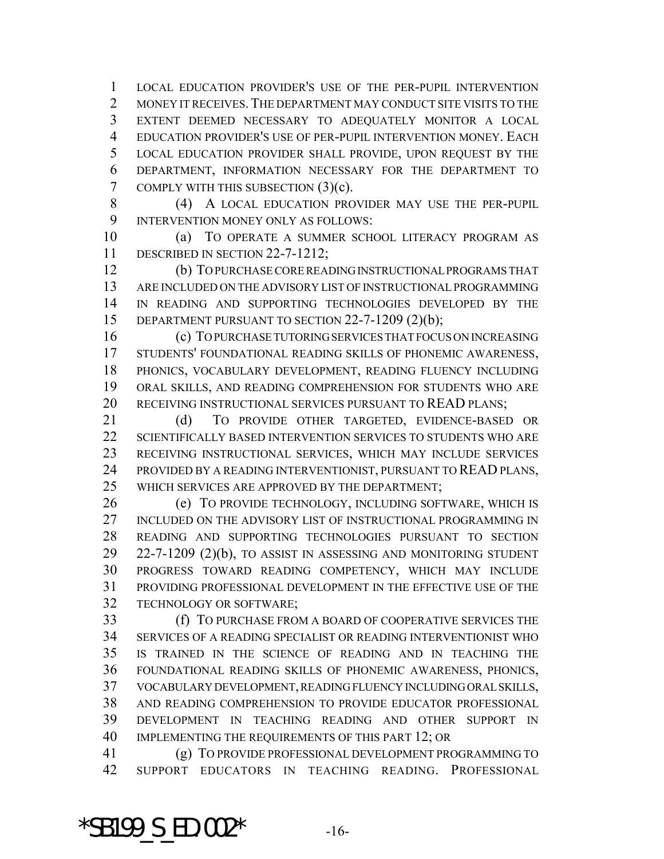LOCAL EDUCATION PROVIDER'S USE OF THE PER-PUPIL INTERVENTION 2 MONEY IT RECEIVES. THE DEPARTMENT MAY CONDUCT SITE VISITS TO THE EXTENT DEEMED NECESSARY TO ADEQUATELY MONITOR A LOCAL EDUCATION PROVIDER'S USE OF PER-PUPIL INTERVENTION MONEY. EACH LOCAL EDUCATION PROVIDER SHALL PROVIDE, UPON REQUEST BY THE DEPARTMENT, INFORMATION NECESSARY FOR THE DEPARTMENT TO COMPLY WITH THIS SUBSECTION (3)(c).

8 (4) A LOCAL EDUCATION PROVIDER MAY USE THE PER-PUPIL INTERVENTION MONEY ONLY AS FOLLOWS:

 (a) TO OPERATE A SUMMER SCHOOL LITERACY PROGRAM AS 11 DESCRIBED IN SECTION 22-7-1212;

 (b) TO PURCHASE CORE READING INSTRUCTIONAL PROGRAMS THAT ARE INCLUDED ON THE ADVISORY LIST OF INSTRUCTIONAL PROGRAMMING IN READING AND SUPPORTING TECHNOLOGIES DEVELOPED BY THE 15 DEPARTMENT PURSUANT TO SECTION 22-7-1209 (2)(b);

 (c) TO PURCHASE TUTORING SERVICES THAT FOCUS ON INCREASING STUDENTS' FOUNDATIONAL READING SKILLS OF PHONEMIC AWARENESS, PHONICS, VOCABULARY DEVELOPMENT, READING FLUENCY INCLUDING ORAL SKILLS, AND READING COMPREHENSION FOR STUDENTS WHO ARE RECEIVING INSTRUCTIONAL SERVICES PURSUANT TO READ PLANS;

 (d) TO PROVIDE OTHER TARGETED, EVIDENCE-BASED OR SCIENTIFICALLY BASED INTERVENTION SERVICES TO STUDENTS WHO ARE RECEIVING INSTRUCTIONAL SERVICES, WHICH MAY INCLUDE SERVICES PROVIDED BY A READING INTERVENTIONIST, PURSUANT TO READ PLANS, WHICH SERVICES ARE APPROVED BY THE DEPARTMENT;

 (e) TO PROVIDE TECHNOLOGY, INCLUDING SOFTWARE, WHICH IS 27 INCLUDED ON THE ADVISORY LIST OF INSTRUCTIONAL PROGRAMMING IN READING AND SUPPORTING TECHNOLOGIES PURSUANT TO SECTION 22-7-1209 (2)(b), TO ASSIST IN ASSESSING AND MONITORING STUDENT PROGRESS TOWARD READING COMPETENCY, WHICH MAY INCLUDE PROVIDING PROFESSIONAL DEVELOPMENT IN THE EFFECTIVE USE OF THE TECHNOLOGY OR SOFTWARE;

 (f) TO PURCHASE FROM A BOARD OF COOPERATIVE SERVICES THE SERVICES OF A READING SPECIALIST OR READING INTERVENTIONIST WHO IS TRAINED IN THE SCIENCE OF READING AND IN TEACHING THE FOUNDATIONAL READING SKILLS OF PHONEMIC AWARENESS, PHONICS, VOCABULARY DEVELOPMENT, READING FLUENCY INCLUDING ORAL SKILLS, AND READING COMPREHENSION TO PROVIDE EDUCATOR PROFESSIONAL DEVELOPMENT IN TEACHING READING AND OTHER SUPPORT IN IMPLEMENTING THE REQUIREMENTS OF THIS PART 12; OR

 (g) TO PROVIDE PROFESSIONAL DEVELOPMENT PROGRAMMING TO SUPPORT EDUCATORS IN TEACHING READING. PROFESSIONAL

\*SB199  $S$  ED.002\*  $-16$ -16-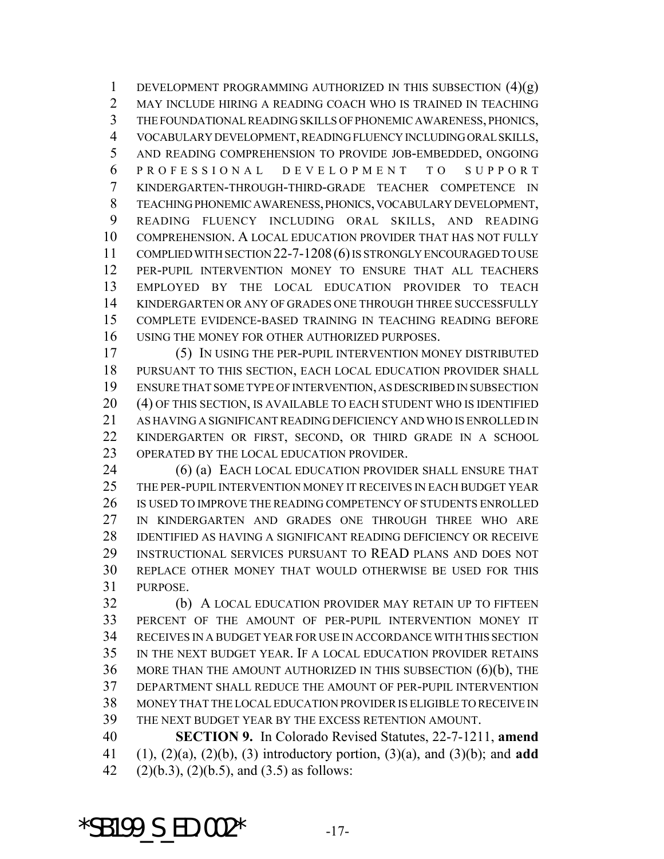1 DEVELOPMENT PROGRAMMING AUTHORIZED IN THIS SUBSECTION  $(4)(g)$  MAY INCLUDE HIRING A READING COACH WHO IS TRAINED IN TEACHING THE FOUNDATIONAL READING SKILLS OF PHONEMIC AWARENESS, PHONICS, VOCABULARY DEVELOPMENT, READING FLUENCY INCLUDING ORAL SKILLS, AND READING COMPREHENSION TO PROVIDE JOB-EMBEDDED, ONGOING PROFESSIONAL DEVELOPMENT TO SUPPORT KINDERGARTEN-THROUGH-THIRD-GRADE TEACHER COMPETENCE IN TEACHING PHONEMIC AWARENESS, PHONICS, VOCABULARY DEVELOPMENT, READING FLUENCY INCLUDING ORAL SKILLS, AND READING COMPREHENSION. A LOCAL EDUCATION PROVIDER THAT HAS NOT FULLY COMPLIED WITH SECTION 22-7-1208(6) IS STRONGLY ENCOURAGED TO USE PER-PUPIL INTERVENTION MONEY TO ENSURE THAT ALL TEACHERS EMPLOYED BY THE LOCAL EDUCATION PROVIDER TO TEACH KINDERGARTEN OR ANY OF GRADES ONE THROUGH THREE SUCCESSFULLY COMPLETE EVIDENCE-BASED TRAINING IN TEACHING READING BEFORE USING THE MONEY FOR OTHER AUTHORIZED PURPOSES.

 (5) IN USING THE PER-PUPIL INTERVENTION MONEY DISTRIBUTED PURSUANT TO THIS SECTION, EACH LOCAL EDUCATION PROVIDER SHALL ENSURE THAT SOME TYPE OF INTERVENTION, AS DESCRIBED IN SUBSECTION (4) OF THIS SECTION, IS AVAILABLE TO EACH STUDENT WHO IS IDENTIFIED AS HAVING A SIGNIFICANT READING DEFICIENCY AND WHO IS ENROLLED IN KINDERGARTEN OR FIRST, SECOND, OR THIRD GRADE IN A SCHOOL OPERATED BY THE LOCAL EDUCATION PROVIDER.

 (6) (a) EACH LOCAL EDUCATION PROVIDER SHALL ENSURE THAT THE PER-PUPIL INTERVENTION MONEY IT RECEIVES IN EACH BUDGET YEAR IS USED TO IMPROVE THE READING COMPETENCY OF STUDENTS ENROLLED IN KINDERGARTEN AND GRADES ONE THROUGH THREE WHO ARE IDENTIFIED AS HAVING A SIGNIFICANT READING DEFICIENCY OR RECEIVE INSTRUCTIONAL SERVICES PURSUANT TO READ PLANS AND DOES NOT REPLACE OTHER MONEY THAT WOULD OTHERWISE BE USED FOR THIS PURPOSE.

 (b) A LOCAL EDUCATION PROVIDER MAY RETAIN UP TO FIFTEEN PERCENT OF THE AMOUNT OF PER-PUPIL INTERVENTION MONEY IT RECEIVES IN A BUDGET YEAR FOR USE IN ACCORDANCE WITH THIS SECTION IN THE NEXT BUDGET YEAR. IF A LOCAL EDUCATION PROVIDER RETAINS MORE THAN THE AMOUNT AUTHORIZED IN THIS SUBSECTION (6)(b), THE DEPARTMENT SHALL REDUCE THE AMOUNT OF PER-PUPIL INTERVENTION MONEY THAT THE LOCAL EDUCATION PROVIDER IS ELIGIBLE TO RECEIVE IN THE NEXT BUDGET YEAR BY THE EXCESS RETENTION AMOUNT.

 **SECTION 9.** In Colorado Revised Statutes, 22-7-1211, **amend** (1), (2)(a), (2)(b), (3) introductory portion, (3)(a), and (3)(b); and **add** 42  $(2)(b.3), (2)(b.5),$  and  $(3.5)$  as follows:

\*SB199 S  $ED.002*$  -17-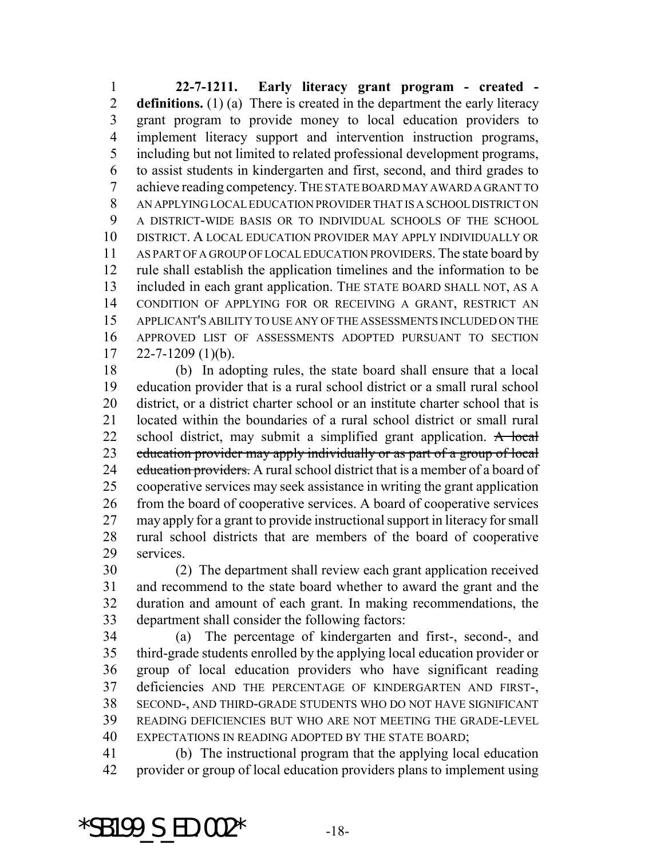**22-7-1211. Early literacy grant program - created - definitions.** (1) (a) There is created in the department the early literacy grant program to provide money to local education providers to implement literacy support and intervention instruction programs, including but not limited to related professional development programs, to assist students in kindergarten and first, second, and third grades to achieve reading competency. THE STATE BOARD MAY AWARD A GRANT TO AN APPLYING LOCAL EDUCATION PROVIDER THAT IS A SCHOOL DISTRICT ON A DISTRICT-WIDE BASIS OR TO INDIVIDUAL SCHOOLS OF THE SCHOOL DISTRICT. A LOCAL EDUCATION PROVIDER MAY APPLY INDIVIDUALLY OR AS PART OF A GROUP OF LOCAL EDUCATION PROVIDERS. The state board by rule shall establish the application timelines and the information to be included in each grant application. THE STATE BOARD SHALL NOT, AS A CONDITION OF APPLYING FOR OR RECEIVING A GRANT, RESTRICT AN APPLICANT'S ABILITY TO USE ANY OF THE ASSESSMENTS INCLUDED ON THE APPROVED LIST OF ASSESSMENTS ADOPTED PURSUANT TO SECTION  $17 \quad 22 - 7 - 1209 \quad (1)(b).$ 

 (b) In adopting rules, the state board shall ensure that a local education provider that is a rural school district or a small rural school district, or a district charter school or an institute charter school that is located within the boundaries of a rural school district or small rural 22 school district, may submit a simplified grant application. A local 23 education provider may apply individually or as part of a group of local 24 education providers. A rural school district that is a member of a board of cooperative services may seek assistance in writing the grant application from the board of cooperative services. A board of cooperative services may apply for a grant to provide instructional support in literacy for small rural school districts that are members of the board of cooperative services.

 (2) The department shall review each grant application received and recommend to the state board whether to award the grant and the duration and amount of each grant. In making recommendations, the department shall consider the following factors:

 (a) The percentage of kindergarten and first-, second-, and third-grade students enrolled by the applying local education provider or group of local education providers who have significant reading deficiencies AND THE PERCENTAGE OF KINDERGARTEN AND FIRST-, SECOND-, AND THIRD-GRADE STUDENTS WHO DO NOT HAVE SIGNIFICANT READING DEFICIENCIES BUT WHO ARE NOT MEETING THE GRADE-LEVEL EXPECTATIONS IN READING ADOPTED BY THE STATE BOARD;

 (b) The instructional program that the applying local education provider or group of local education providers plans to implement using

\*SB199 S ED.002\*  $-18$ -18-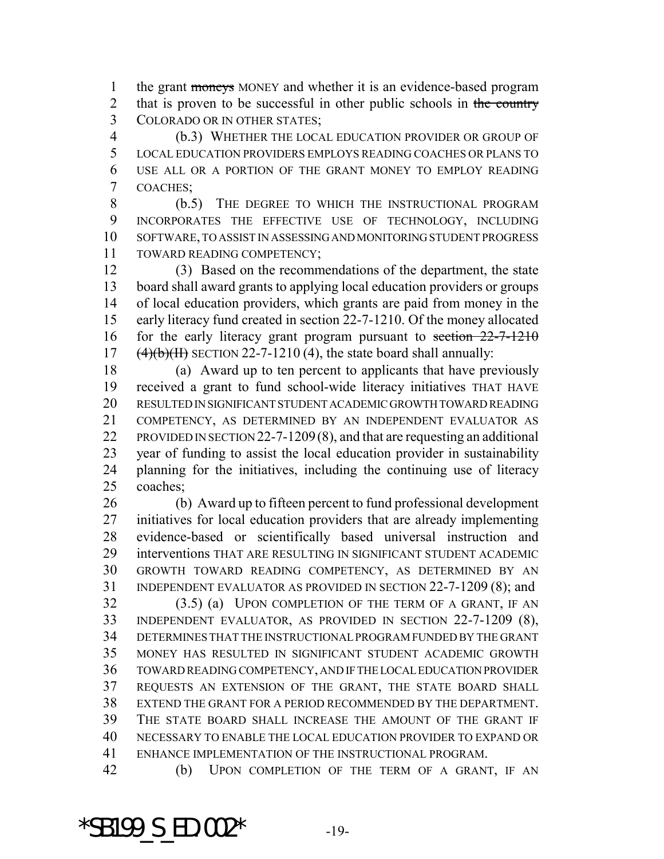1 the grant moneys MONEY and whether it is an evidence-based program 2 that is proven to be successful in other public schools in the country COLORADO OR IN OTHER STATES;

 (b.3) WHETHER THE LOCAL EDUCATION PROVIDER OR GROUP OF LOCAL EDUCATION PROVIDERS EMPLOYS READING COACHES OR PLANS TO USE ALL OR A PORTION OF THE GRANT MONEY TO EMPLOY READING COACHES;

 (b.5) THE DEGREE TO WHICH THE INSTRUCTIONAL PROGRAM INCORPORATES THE EFFECTIVE USE OF TECHNOLOGY, INCLUDING SOFTWARE, TO ASSIST IN ASSESSING AND MONITORING STUDENT PROGRESS TOWARD READING COMPETENCY;

 (3) Based on the recommendations of the department, the state board shall award grants to applying local education providers or groups of local education providers, which grants are paid from money in the early literacy fund created in section 22-7-1210. Of the money allocated 16 for the early literacy grant program pursuant to section 22-7-1210  $(4)(b)(H)$  SECTION 22-7-1210 (4), the state board shall annually:

 (a) Award up to ten percent to applicants that have previously received a grant to fund school-wide literacy initiatives THAT HAVE RESULTED IN SIGNIFICANT STUDENT ACADEMIC GROWTH TOWARD READING COMPETENCY, AS DETERMINED BY AN INDEPENDENT EVALUATOR AS PROVIDED IN SECTION 22-7-1209(8), and that are requesting an additional year of funding to assist the local education provider in sustainability planning for the initiatives, including the continuing use of literacy coaches;

 (b) Award up to fifteen percent to fund professional development initiatives for local education providers that are already implementing evidence-based or scientifically based universal instruction and interventions THAT ARE RESULTING IN SIGNIFICANT STUDENT ACADEMIC GROWTH TOWARD READING COMPETENCY, AS DETERMINED BY AN INDEPENDENT EVALUATOR AS PROVIDED IN SECTION 22-7-1209 (8); and

 (3.5) (a) UPON COMPLETION OF THE TERM OF A GRANT, IF AN INDEPENDENT EVALUATOR, AS PROVIDED IN SECTION 22-7-1209 (8), DETERMINES THAT THE INSTRUCTIONAL PROGRAM FUNDED BY THE GRANT MONEY HAS RESULTED IN SIGNIFICANT STUDENT ACADEMIC GROWTH TOWARD READING COMPETENCY, AND IF THE LOCAL EDUCATION PROVIDER REQUESTS AN EXTENSION OF THE GRANT, THE STATE BOARD SHALL EXTEND THE GRANT FOR A PERIOD RECOMMENDED BY THE DEPARTMENT. THE STATE BOARD SHALL INCREASE THE AMOUNT OF THE GRANT IF NECESSARY TO ENABLE THE LOCAL EDUCATION PROVIDER TO EXPAND OR ENHANCE IMPLEMENTATION OF THE INSTRUCTIONAL PROGRAM.

(b) UPON COMPLETION OF THE TERM OF A GRANT, IF AN

\*SB199  $S$  ED.002\*  $-19$ -